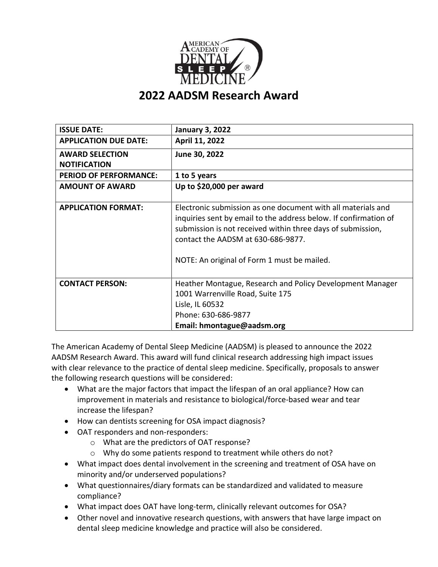

| <b>ISSUE DATE:</b>                            | <b>January 3, 2022</b>                                                                                                                                                                                                                                                               |
|-----------------------------------------------|--------------------------------------------------------------------------------------------------------------------------------------------------------------------------------------------------------------------------------------------------------------------------------------|
| <b>APPLICATION DUE DATE:</b>                  | April 11, 2022                                                                                                                                                                                                                                                                       |
| <b>AWARD SELECTION</b><br><b>NOTIFICATION</b> | June 30, 2022                                                                                                                                                                                                                                                                        |
| <b>PERIOD OF PERFORMANCE:</b>                 | 1 to 5 years                                                                                                                                                                                                                                                                         |
| <b>AMOUNT OF AWARD</b>                        | Up to \$20,000 per award                                                                                                                                                                                                                                                             |
| <b>APPLICATION FORMAT:</b>                    | Electronic submission as one document with all materials and<br>inquiries sent by email to the address below. If confirmation of<br>submission is not received within three days of submission,<br>contact the AADSM at 630-686-9877.<br>NOTE: An original of Form 1 must be mailed. |
| <b>CONTACT PERSON:</b>                        | Heather Montague, Research and Policy Development Manager<br>1001 Warrenville Road, Suite 175<br>Lisle, IL 60532<br>Phone: 630-686-9877<br>Email: hmontague@aadsm.org                                                                                                                |

The American Academy of Dental Sleep Medicine (AADSM) is pleased to announce the 2022 AADSM Research Award. This award will fund clinical research addressing high impact issues with clear relevance to the practice of dental sleep medicine. Specifically, proposals to answer the following research questions will be considered:

- What are the major factors that impact the lifespan of an oral appliance? How can improvement in materials and resistance to biological/force-based wear and tear increase the lifespan?
- How can dentists screening for OSA impact diagnosis?
- OAT responders and non-responders:
	- o What are the predictors of OAT response?
	- o Why do some patients respond to treatment while others do not?
- What impact does dental involvement in the screening and treatment of OSA have on minority and/or underserved populations?
- What questionnaires/diary formats can be standardized and validated to measure compliance?
- What impact does OAT have long-term, clinically relevant outcomes for OSA?
- Other novel and innovative research questions, with answers that have large impact on dental sleep medicine knowledge and practice will also be considered.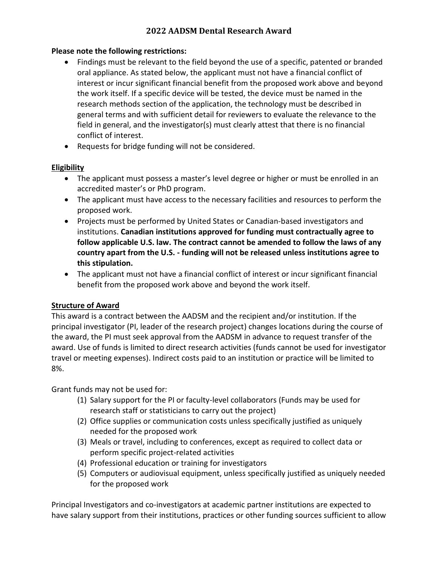#### **Please note the following restrictions:**

- Findings must be relevant to the field beyond the use of a specific, patented or branded oral appliance. As stated below, the applicant must not have a financial conflict of interest or incur significant financial benefit from the proposed work above and beyond the work itself. If a specific device will be tested, the device must be named in the research methods section of the application, the technology must be described in general terms and with sufficient detail for reviewers to evaluate the relevance to the field in general, and the investigator(s) must clearly attest that there is no financial conflict of interest.
- Requests for bridge funding will not be considered.

## **Eligibility**

- The applicant must possess a master's level degree or higher or must be enrolled in an accredited master's or PhD program.
- The applicant must have access to the necessary facilities and resources to perform the proposed work.
- Projects must be performed by United States or Canadian-based investigators and institutions. **Canadian institutions approved for funding must contractually agree to follow applicable U.S. law. The contract cannot be amended to follow the laws of any country apart from the U.S. - funding will not be released unless institutions agree to this stipulation.**
- The applicant must not have a financial conflict of interest or incur significant financial benefit from the proposed work above and beyond the work itself.

# **Structure of Award**

This award is a contract between the AADSM and the recipient and/or institution. If the principal investigator (PI, leader of the research project) changes locations during the course of the award, the PI must seek approval from the AADSM in advance to request transfer of the award. Use of funds is limited to direct research activities (funds cannot be used for investigator travel or meeting expenses). Indirect costs paid to an institution or practice will be limited to 8%.

Grant funds may not be used for:

- (1) Salary support for the PI or faculty-level collaborators (Funds may be used for research staff or statisticians to carry out the project)
- (2) Office supplies or communication costs unless specifically justified as uniquely needed for the proposed work
- (3) Meals or travel, including to conferences, except as required to collect data or perform specific project-related activities
- (4) Professional education or training for investigators
- (5) Computers or audiovisual equipment, unless specifically justified as uniquely needed for the proposed work

Principal Investigators and co-investigators at academic partner institutions are expected to have salary support from their institutions, practices or other funding sources sufficient to allow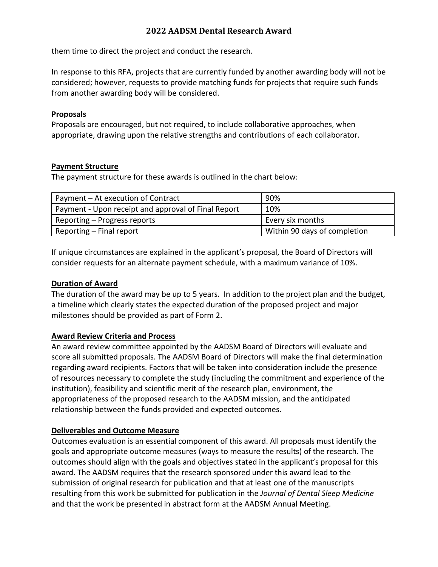them time to direct the project and conduct the research.

In response to this RFA, projects that are currently funded by another awarding body will not be considered; however, requests to provide matching funds for projects that require such funds from another awarding body will be considered.

#### **Proposals**

Proposals are encouraged, but not required, to include collaborative approaches, when appropriate, drawing upon the relative strengths and contributions of each collaborator.

#### **Payment Structure**

The payment structure for these awards is outlined in the chart below:

| Payment - At execution of Contract                  | 90%                          |
|-----------------------------------------------------|------------------------------|
| Payment - Upon receipt and approval of Final Report | 10%                          |
| Reporting – Progress reports                        | Every six months             |
| Reporting – Final report                            | Within 90 days of completion |

If unique circumstances are explained in the applicant's proposal, the Board of Directors will consider requests for an alternate payment schedule, with a maximum variance of 10%.

#### **Duration of Award**

The duration of the award may be up to 5 years. In addition to the project plan and the budget, a timeline which clearly states the expected duration of the proposed project and major milestones should be provided as part of Form 2.

## **Award Review Criteria and Process**

An award review committee appointed by the AADSM Board of Directors will evaluate and score all submitted proposals. The AADSM Board of Directors will make the final determination regarding award recipients. Factors that will be taken into consideration include the presence of resources necessary to complete the study (including the commitment and experience of the institution), feasibility and scientific merit of the research plan, environment, the appropriateness of the proposed research to the AADSM mission, and the anticipated relationship between the funds provided and expected outcomes.

## **Deliverables and Outcome Measure**

Outcomes evaluation is an essential component of this award. All proposals must identify the goals and appropriate outcome measures (ways to measure the results) of the research. The outcomes should align with the goals and objectives stated in the applicant's proposal for this award. The AADSM requires that the research sponsored under this award lead to the submission of original research for publication and that at least one of the manuscripts resulting from this work be submitted for publication in the *Journal of Dental Sleep Medicine* and that the work be presented in abstract form at the AADSM Annual Meeting.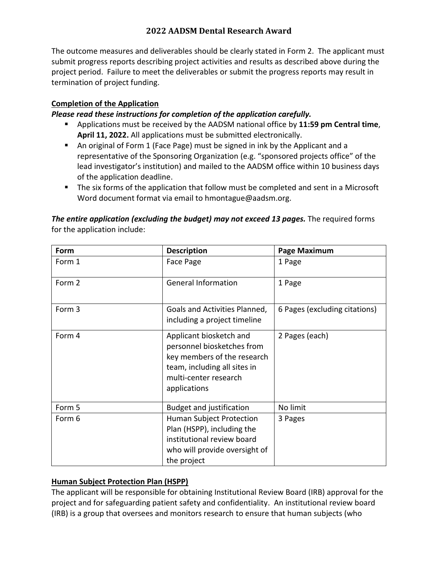The outcome measures and deliverables should be clearly stated in Form 2. The applicant must submit progress reports describing project activities and results as described above during the project period. Failure to meet the deliverables or submit the progress reports may result in termination of project funding.

# **Completion of the Application**

## *Please read these instructions for completion of the application carefully.*

- Applications must be received by the AADSM national office by **11:59 pm Central time**, **April 11, 2022.** All applications must be submitted electronically.
- An original of Form 1 (Face Page) must be signed in ink by the Applicant and a representative of the Sponsoring Organization (e.g. "sponsored projects office" of the lead investigator's institution) and mailed to the AADSM office within 10 business days of the application deadline.
- The six forms of the application that follow must be completed and sent in a Microsoft Word document format via email to hmontague@aadsm.org.

| Form   | <b>Description</b>                                                                                                                                            | Page Maximum                  |
|--------|---------------------------------------------------------------------------------------------------------------------------------------------------------------|-------------------------------|
| Form 1 | Face Page                                                                                                                                                     | 1 Page                        |
| Form 2 | <b>General Information</b>                                                                                                                                    | 1 Page                        |
| Form 3 | Goals and Activities Planned,<br>including a project timeline                                                                                                 | 6 Pages (excluding citations) |
| Form 4 | Applicant biosketch and<br>personnel biosketches from<br>key members of the research<br>team, including all sites in<br>multi-center research<br>applications | 2 Pages (each)                |
| Form 5 | <b>Budget and justification</b>                                                                                                                               | No limit                      |
| Form 6 | Human Subject Protection<br>Plan (HSPP), including the<br>institutional review board<br>who will provide oversight of<br>the project                          | 3 Pages                       |

*The entire application (excluding the budget) may not exceed 13 pages.* The required forms for the application include:

## **Human Subject Protection Plan (HSPP)**

The applicant will be responsible for obtaining Institutional Review Board (IRB) approval for the project and for safeguarding patient safety and confidentiality. An institutional review board (IRB) is a group that oversees and monitors research to ensure that human subjects (who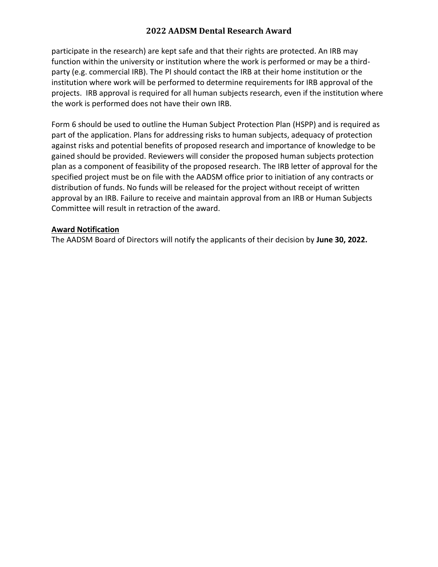participate in the research) are kept safe and that their rights are protected. An IRB may function within the university or institution where the work is performed or may be a thirdparty (e.g. commercial IRB). The PI should contact the IRB at their home institution or the institution where work will be performed to determine requirements for IRB approval of the projects. IRB approval is required for all human subjects research, even if the institution where the work is performed does not have their own IRB.

Form 6 should be used to outline the Human Subject Protection Plan (HSPP) and is required as part of the application. Plans for addressing risks to human subjects, adequacy of protection against risks and potential benefits of proposed research and importance of knowledge to be gained should be provided. Reviewers will consider the proposed human subjects protection plan as a component of feasibility of the proposed research. The IRB letter of approval for the specified project must be on file with the AADSM office prior to initiation of any contracts or distribution of funds. No funds will be released for the project without receipt of written approval by an IRB. Failure to receive and maintain approval from an IRB or Human Subjects Committee will result in retraction of the award.

#### **Award Notification**

The AADSM Board of Directors will notify the applicants of their decision by **June 30, 2022.**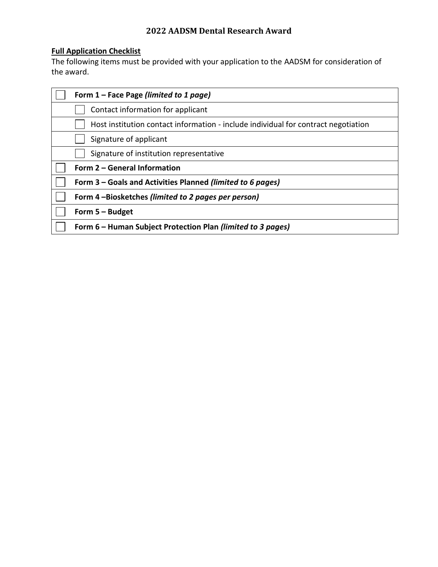# **Full Application Checklist**

The following items must be provided with your application to the AADSM for consideration of the award.

| Form 1 – Face Page (limited to 1 page)                                             |
|------------------------------------------------------------------------------------|
| Contact information for applicant                                                  |
| Host institution contact information - include individual for contract negotiation |
| Signature of applicant                                                             |
| Signature of institution representative                                            |
| Form 2 - General Information                                                       |
| Form 3 – Goals and Activities Planned (limited to 6 pages)                         |
| Form 4-Biosketches (limited to 2 pages per person)                                 |
| Form $5 -$ Budget                                                                  |
| Form 6 – Human Subject Protection Plan (limited to 3 pages)                        |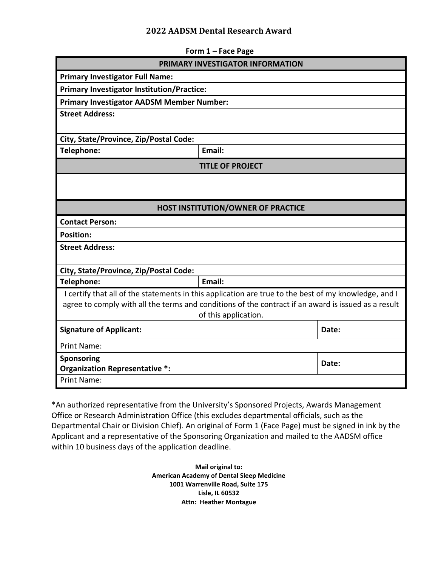| Form 1 - Face Page                                                                                   |                                           |       |  |
|------------------------------------------------------------------------------------------------------|-------------------------------------------|-------|--|
| <b>PRIMARY INVESTIGATOR INFORMATION</b>                                                              |                                           |       |  |
| <b>Primary Investigator Full Name:</b>                                                               |                                           |       |  |
| <b>Primary Investigator Institution/Practice:</b>                                                    |                                           |       |  |
| <b>Primary Investigator AADSM Member Number:</b>                                                     |                                           |       |  |
| <b>Street Address:</b>                                                                               |                                           |       |  |
| City, State/Province, Zip/Postal Code:                                                               |                                           |       |  |
| Telephone:                                                                                           | Email:                                    |       |  |
|                                                                                                      | <b>TITLE OF PROJECT</b>                   |       |  |
|                                                                                                      |                                           |       |  |
|                                                                                                      |                                           |       |  |
|                                                                                                      | <b>HOST INSTITUTION/OWNER OF PRACTICE</b> |       |  |
| <b>Contact Person:</b>                                                                               |                                           |       |  |
| <b>Position:</b>                                                                                     |                                           |       |  |
| <b>Street Address:</b>                                                                               |                                           |       |  |
|                                                                                                      |                                           |       |  |
| City, State/Province, Zip/Postal Code:                                                               |                                           |       |  |
| Telephone:                                                                                           | Email:                                    |       |  |
| I certify that all of the statements in this application are true to the best of my knowledge, and I |                                           |       |  |
| agree to comply with all the terms and conditions of the contract if an award is issued as a result  |                                           |       |  |
|                                                                                                      | of this application.                      |       |  |
| <b>Signature of Applicant:</b>                                                                       |                                           | Date: |  |
| <b>Print Name:</b>                                                                                   |                                           |       |  |
| Sponsoring                                                                                           |                                           | Date: |  |
| <b>Organization Representative *:</b>                                                                |                                           |       |  |
| <b>Print Name:</b>                                                                                   |                                           |       |  |

\*An authorized representative from the University's Sponsored Projects, Awards Management Office or Research Administration Office (this excludes departmental officials, such as the Departmental Chair or Division Chief). An original of Form 1 (Face Page) must be signed in ink by the Applicant and a representative of the Sponsoring Organization and mailed to the AADSM office within 10 business days of the application deadline.

> **Mail original to: American Academy of Dental Sleep Medicine 1001 Warrenville Road, Suite 175 Lisle, IL 60532 Attn: Heather Montague**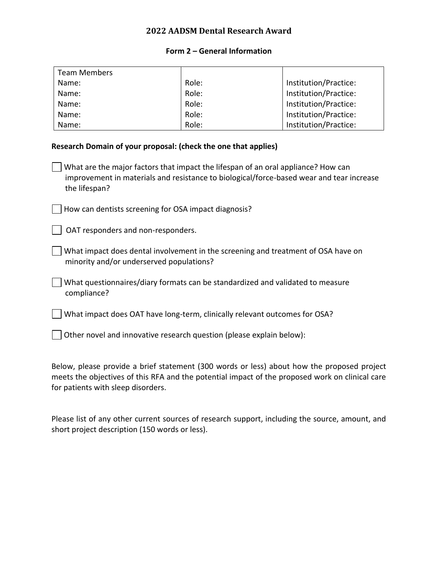#### **Form 2 – General Information**

| <b>Team Members</b> |       |                       |
|---------------------|-------|-----------------------|
| Name:               | Role: | Institution/Practice: |
| Name:               | Role: | Institution/Practice: |
| Name:               | Role: | Institution/Practice: |
| Name:               | Role: | Institution/Practice: |
| Name:               | Role: | Institution/Practice: |

#### **Research Domain of your proposal: (check the one that applies)**

What are the major factors that impact the lifespan of an oral appliance? How can improvement in materials and resistance to biological/force-based wear and tear increase the lifespan?

 $\Box$  How can dentists screening for OSA impact diagnosis?

 $\vert$   $\vert$  OAT responders and non-responders.

What impact does dental involvement in the screening and treatment of OSA have on minority and/or underserved populations?

What questionnaires/diary formats can be standardized and validated to measure compliance?

What impact does OAT have long-term, clinically relevant outcomes for OSA?

 $\Box$  Other novel and innovative research question (please explain below):

Below, please provide a brief statement (300 words or less) about how the proposed project meets the objectives of this RFA and the potential impact of the proposed work on clinical care for patients with sleep disorders.

Please list of any other current sources of research support, including the source, amount, and short project description (150 words or less).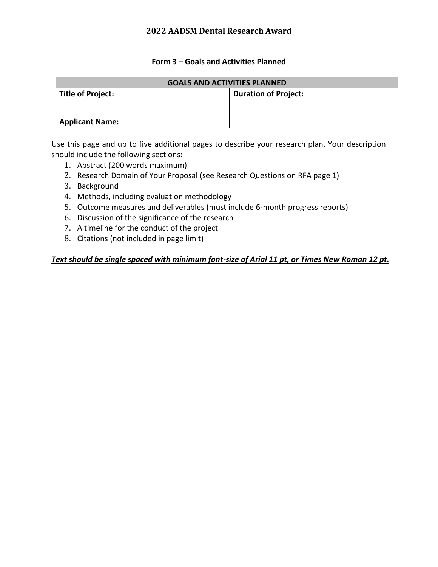#### **Form 3 – Goals and Activities Planned**

| <b>GOALS AND ACTIVITIES PLANNED</b> |                             |  |  |
|-------------------------------------|-----------------------------|--|--|
| Title of Project:                   | <b>Duration of Project:</b> |  |  |
|                                     |                             |  |  |
|                                     |                             |  |  |
| <b>Applicant Name:</b>              |                             |  |  |

Use this page and up to five additional pages to describe your research plan. Your description should include the following sections:

- 1. Abstract (200 words maximum)
- 2. Research Domain of Your Proposal (see Research Questions on RFA page 1)
- 3. Background
- 4. Methods, including evaluation methodology
- 5. Outcome measures and deliverables (must include 6-month progress reports)
- 6. Discussion of the significance of the research
- 7. A timeline for the conduct of the project
- 8. Citations (not included in page limit)

#### *Text should be single spaced with minimum font-size of Arial 11 pt, or Times New Roman 12 pt.*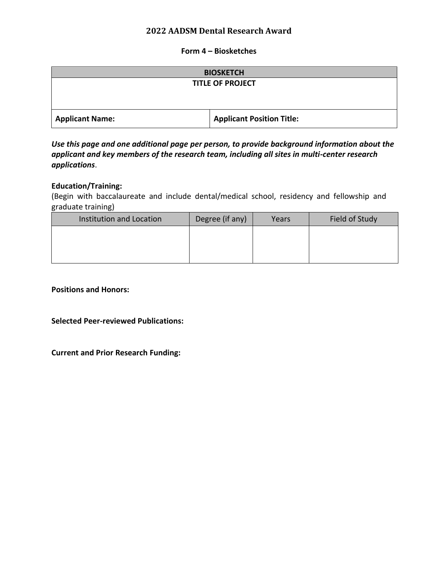#### **Form 4 – Biosketches**

| <b>BIOSKETCH</b>        |                                  |  |  |  |
|-------------------------|----------------------------------|--|--|--|
| <b>TITLE OF PROJECT</b> |                                  |  |  |  |
|                         |                                  |  |  |  |
|                         |                                  |  |  |  |
| <b>Applicant Name:</b>  | <b>Applicant Position Title:</b> |  |  |  |

*Use this page and one additional page per person, to provide background information about the applicant and key members of the research team, including all sites in multi-center research applications*.

#### **Education/Training:**

(Begin with baccalaureate and include dental/medical school, residency and fellowship and graduate training)

| Institution and Location | Degree (if any) | Years | Field of Study |
|--------------------------|-----------------|-------|----------------|
|                          |                 |       |                |
|                          |                 |       |                |
|                          |                 |       |                |

**Positions and Honors:** 

**Selected Peer-reviewed Publications:** 

**Current and Prior Research Funding:**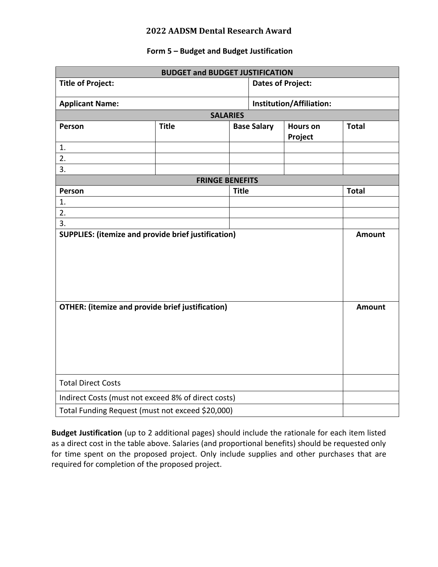## **Form 5 – Budget and Budget Justification**

| <b>BUDGET and BUDGET JUSTIFICATION</b>                  |                        |                          |                          |                            |               |
|---------------------------------------------------------|------------------------|--------------------------|--------------------------|----------------------------|---------------|
| <b>Title of Project:</b>                                |                        | <b>Dates of Project:</b> |                          |                            |               |
| <b>Applicant Name:</b>                                  |                        |                          | Institution/Affiliation: |                            |               |
|                                                         |                        | <b>SALARIES</b>          |                          |                            |               |
| Person                                                  | <b>Title</b>           |                          | <b>Base Salary</b>       | <b>Hours on</b><br>Project | <b>Total</b>  |
| 1.                                                      |                        |                          |                          |                            |               |
| 2.                                                      |                        |                          |                          |                            |               |
| 3.                                                      |                        |                          |                          |                            |               |
|                                                         | <b>FRINGE BENEFITS</b> |                          |                          |                            |               |
| Person                                                  |                        | <b>Title</b>             |                          |                            | <b>Total</b>  |
| 1.                                                      |                        |                          |                          |                            |               |
| 2.                                                      |                        |                          |                          |                            |               |
| 3.                                                      |                        |                          |                          |                            | <b>Amount</b> |
| SUPPLIES: (itemize and provide brief justification)     |                        |                          |                          |                            |               |
| <b>OTHER:</b> (itemize and provide brief justification) |                        |                          | <b>Amount</b>            |                            |               |
| <b>Total Direct Costs</b>                               |                        |                          |                          |                            |               |
| Indirect Costs (must not exceed 8% of direct costs)     |                        |                          |                          |                            |               |
| Total Funding Request (must not exceed \$20,000)        |                        |                          |                          |                            |               |

**Budget Justification** (up to 2 additional pages) should include the rationale for each item listed as a direct cost in the table above. Salaries (and proportional benefits) should be requested only for time spent on the proposed project. Only include supplies and other purchases that are required for completion of the proposed project.